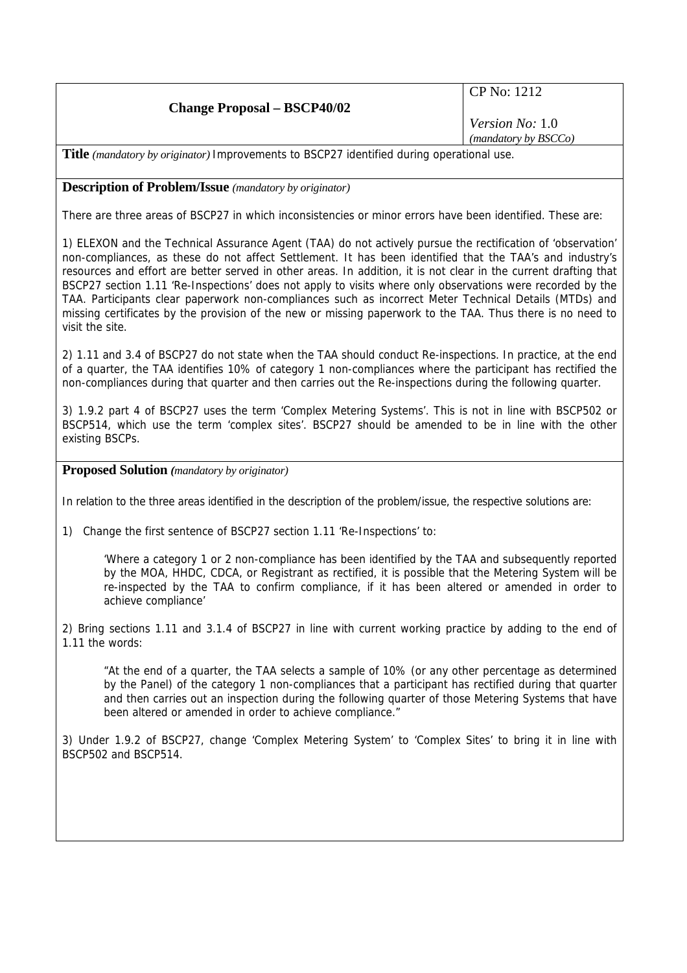| <b>Change Proposal – BSCP40/02</b>                                                                                                                                                                                                                                                                           | CP No: 1212            |
|--------------------------------------------------------------------------------------------------------------------------------------------------------------------------------------------------------------------------------------------------------------------------------------------------------------|------------------------|
|                                                                                                                                                                                                                                                                                                              | <i>Version No:</i> 1.0 |
|                                                                                                                                                                                                                                                                                                              | (mandatory by BSCCo)   |
| T241.7<br>$\mathbf{A}$ , and a set of the contract of the set of $\mathbf{A}$ , $\mathbf{A}$ , $\mathbf{A}$ , $\mathbf{A}$ , $\mathbf{A}$ , $\mathbf{A}$ , $\mathbf{A}$ , $\mathbf{A}$ , $\mathbf{A}$ , $\mathbf{A}$ , $\mathbf{A}$ , $\mathbf{A}$ , $\mathbf{A}$ , $\mathbf{A}$ , $\mathbf{A}$ , $\mathbf{$ |                        |

**Title** *(mandatory by originator)* Improvements to BSCP27 identified during operational use.

## **Description of Problem/Issue** *(mandatory by originator)*

There are three areas of BSCP27 in which inconsistencies or minor errors have been identified. These are:

1) ELEXON and the Technical Assurance Agent (TAA) do not actively pursue the rectification of 'observation' non-compliances, as these do not affect Settlement. It has been identified that the TAA's and industry's resources and effort are better served in other areas. In addition, it is not clear in the current drafting that BSCP27 section 1.11 'Re-Inspections' does not apply to visits where only observations were recorded by the TAA. Participants clear paperwork non-compliances such as incorrect Meter Technical Details (MTDs) and missing certificates by the provision of the new or missing paperwork to the TAA. Thus there is no need to visit the site.

2) 1.11 and 3.4 of BSCP27 do not state when the TAA should conduct Re-inspections. In practice, at the end of a quarter, the TAA identifies 10% of category 1 non-compliances where the participant has rectified the non-compliances during that quarter and then carries out the Re-inspections during the following quarter.

3) 1.9.2 part 4 of BSCP27 uses the term 'Complex Metering Systems'. This is not in line with BSCP502 or BSCP514, which use the term 'complex sites'. BSCP27 should be amended to be in line with the other existing BSCPs.

**Proposed Solution** *(mandatory by originator)* 

In relation to the three areas identified in the description of the problem/issue, the respective solutions are:

1) Change the first sentence of BSCP27 section 1.11 'Re-Inspections' to:

'Where a category 1 or 2 non-compliance has been identified by the TAA and subsequently reported by the MOA, HHDC, CDCA, or Registrant as rectified, it is possible that the Metering System will be re-inspected by the TAA to confirm compliance, if it has been altered or amended in order to achieve compliance'

2) Bring sections 1.11 and 3.1.4 of BSCP27 in line with current working practice by adding to the end of 1.11 the words:

"At the end of a quarter, the TAA selects a sample of 10% (or any other percentage as determined by the Panel) of the category 1 non-compliances that a participant has rectified during that quarter and then carries out an inspection during the following quarter of those Metering Systems that have been altered or amended in order to achieve compliance."

3) Under 1.9.2 of BSCP27, change 'Complex Metering System' to 'Complex Sites' to bring it in line with BSCP502 and BSCP514.